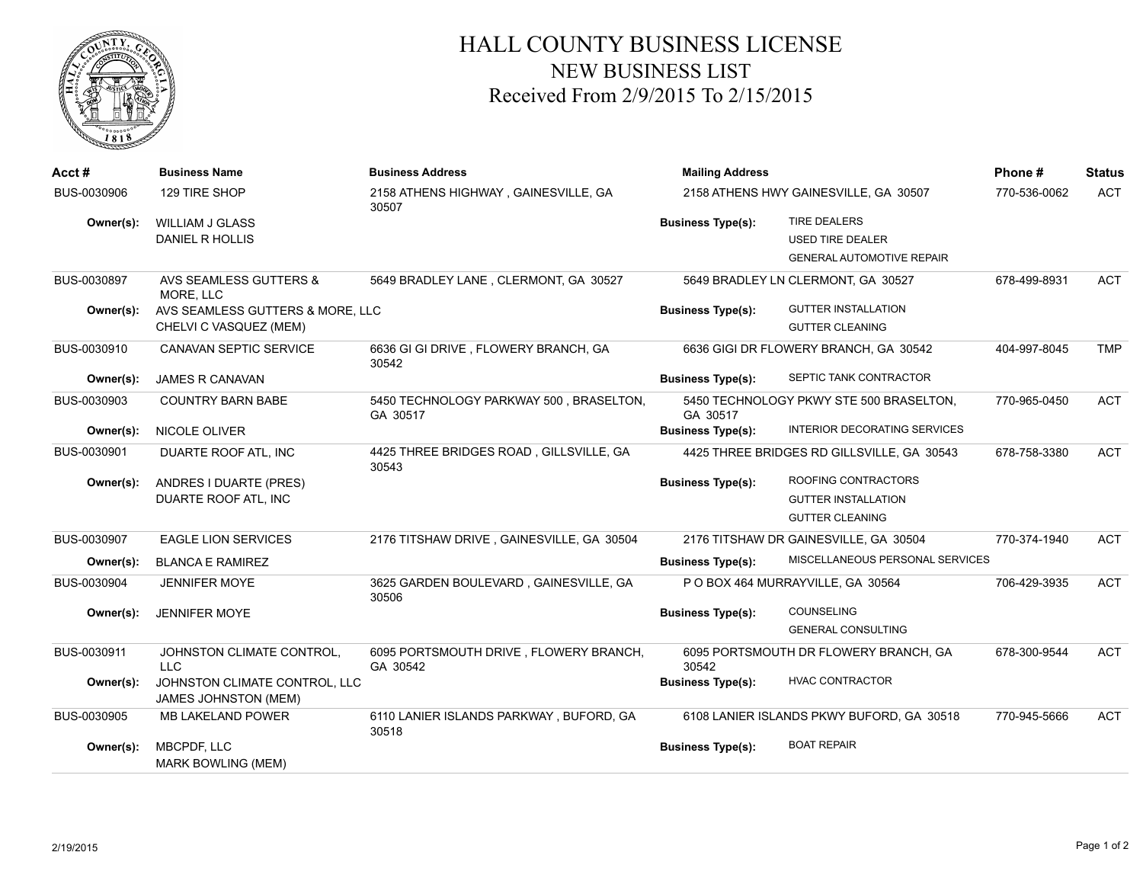

## HALL COUNTY BUSINESS LICENSE NEW BUSINESS LIST Received From 2/9/2015 To 2/15/2015

| Acct#       | <b>Business Name</b>                                         | <b>Business Address</b>                             | <b>Mailing Address</b>                |                                                | Phone #      | <b>Status</b> |
|-------------|--------------------------------------------------------------|-----------------------------------------------------|---------------------------------------|------------------------------------------------|--------------|---------------|
| BUS-0030906 | 129 TIRE SHOP                                                | 2158 ATHENS HIGHWAY, GAINESVILLE, GA<br>30507       | 2158 ATHENS HWY GAINESVILLE, GA 30507 |                                                | 770-536-0062 | <b>ACT</b>    |
| Owner(s):   | WILLIAM J GLASS                                              |                                                     | <b>Business Type(s):</b>              | <b>TIRE DEALERS</b>                            |              |               |
|             | DANIEL R HOLLIS                                              |                                                     |                                       | <b>USED TIRE DEALER</b>                        |              |               |
|             |                                                              |                                                     |                                       | <b>GENERAL AUTOMOTIVE REPAIR</b>               |              |               |
| BUS-0030897 | AVS SEAMLESS GUTTERS &<br>MORE. LLC                          | 5649 BRADLEY LANE, CLERMONT, GA 30527               |                                       | 5649 BRADLEY LN CLERMONT, GA 30527             | 678-499-8931 | <b>ACT</b>    |
| Owner(s):   | AVS SEAMLESS GUTTERS & MORE, LLC                             |                                                     | <b>Business Type(s):</b>              | <b>GUTTER INSTALLATION</b>                     |              |               |
|             | CHELVI C VASQUEZ (MEM)                                       |                                                     |                                       | <b>GUTTER CLEANING</b>                         |              |               |
| BUS-0030910 | CANAVAN SEPTIC SERVICE                                       | 6636 GI GI DRIVE, FLOWERY BRANCH, GA<br>30542       |                                       | 6636 GIGI DR FLOWERY BRANCH, GA 30542          | 404-997-8045 | <b>TMP</b>    |
| Owner(s):   | <b>JAMES R CANAVAN</b>                                       |                                                     | <b>Business Type(s):</b>              | SEPTIC TANK CONTRACTOR                         |              |               |
| BUS-0030903 | <b>COUNTRY BARN BABE</b>                                     | 5450 TECHNOLOGY PARKWAY 500, BRASELTON,<br>GA 30517 | GA 30517                              | 5450 TECHNOLOGY PKWY STE 500 BRASELTON,        | 770-965-0450 | <b>ACT</b>    |
| Owner(s):   | NICOLE OLIVER                                                |                                                     | <b>Business Type(s):</b>              | INTERIOR DECORATING SERVICES                   |              |               |
| BUS-0030901 | DUARTE ROOF ATL, INC                                         | 4425 THREE BRIDGES ROAD, GILLSVILLE, GA<br>30543    |                                       | 4425 THREE BRIDGES RD GILLSVILLE, GA 30543     | 678-758-3380 | <b>ACT</b>    |
| Owner(s):   | ANDRES I DUARTE (PRES)                                       |                                                     | <b>Business Type(s):</b>              | ROOFING CONTRACTORS                            |              |               |
|             | DUARTE ROOF ATL, INC                                         |                                                     |                                       | <b>GUTTER INSTALLATION</b>                     |              |               |
|             |                                                              |                                                     |                                       | <b>GUTTER CLEANING</b>                         |              |               |
| BUS-0030907 | <b>EAGLE LION SERVICES</b>                                   | 2176 TITSHAW DRIVE, GAINESVILLE, GA 30504           |                                       | 2176 TITSHAW DR GAINESVILLE, GA 30504          | 770-374-1940 | <b>ACT</b>    |
| Owner(s):   | <b>BLANCA E RAMIREZ</b>                                      |                                                     | <b>Business Type(s):</b>              | MISCELLANEOUS PERSONAL SERVICES                |              |               |
| BUS-0030904 | <b>JENNIFER MOYE</b>                                         | 3625 GARDEN BOULEVARD, GAINESVILLE, GA<br>30506     |                                       | P O BOX 464 MURRAYVILLE, GA 30564              | 706-429-3935 | <b>ACT</b>    |
| Owner(s):   | <b>JENNIFER MOYE</b>                                         |                                                     | <b>Business Type(s):</b>              | <b>COUNSELING</b><br><b>GENERAL CONSULTING</b> |              |               |
| BUS-0030911 | JOHNSTON CLIMATE CONTROL,<br><b>LLC</b>                      | 6095 PORTSMOUTH DRIVE, FLOWERY BRANCH,<br>GA 30542  | 30542                                 | 6095 PORTSMOUTH DR FLOWERY BRANCH, GA          | 678-300-9544 | <b>ACT</b>    |
| Owner(s):   | JOHNSTON CLIMATE CONTROL, LLC<br><b>JAMES JOHNSTON (MEM)</b> |                                                     | <b>Business Type(s):</b>              | <b>HVAC CONTRACTOR</b>                         |              |               |
| BUS-0030905 | MB LAKELAND POWER                                            | 6110 LANIER ISLANDS PARKWAY, BUFORD, GA<br>30518    |                                       | 6108 LANIER ISLANDS PKWY BUFORD, GA 30518      | 770-945-5666 | <b>ACT</b>    |
| Owner(s):   | <b>MBCPDF, LLC</b><br><b>MARK BOWLING (MEM)</b>              |                                                     | <b>Business Type(s):</b>              | <b>BOAT REPAIR</b>                             |              |               |